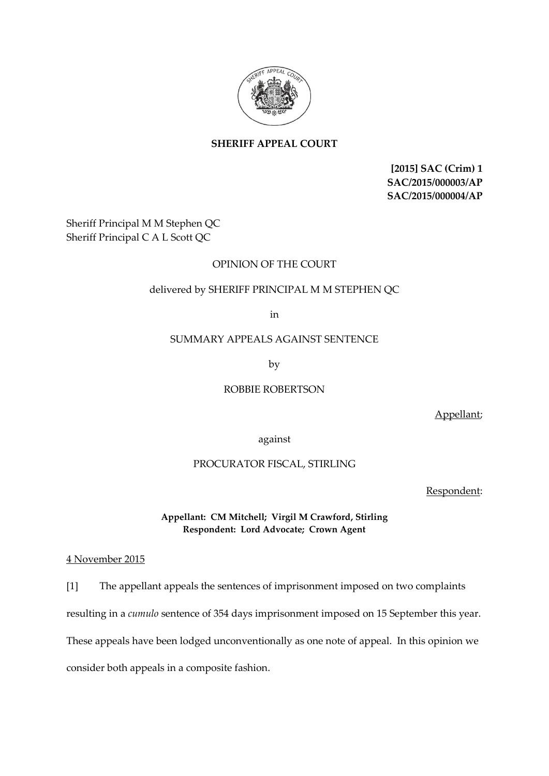

# **SHERIFF APPEAL COURT**

**[2015] SAC (Crim) 1 SAC/2015/000003/AP SAC/2015/000004/AP**

Sheriff Principal M M Stephen QC Sheriff Principal C A L Scott QC

## OPINION OF THE COURT

## delivered by SHERIFF PRINCIPAL M M STEPHEN QC

in

#### SUMMARY APPEALS AGAINST SENTENCE

by

### ROBBIE ROBERTSON

Appellant;

against

### PROCURATOR FISCAL, STIRLING

Respondent:

## **Appellant: CM Mitchell; Virgil M Crawford, Stirling Respondent: Lord Advocate; Crown Agent**

### 4 November 2015

[1] The appellant appeals the sentences of imprisonment imposed on two complaints resulting in a *cumulo* sentence of 354 days imprisonment imposed on 15 September this year. These appeals have been lodged unconventionally as one note of appeal. In this opinion we consider both appeals in a composite fashion.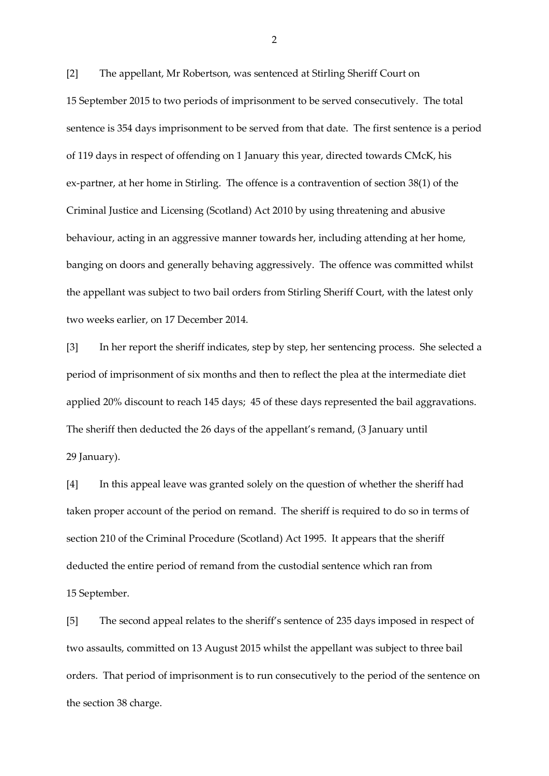[2] The appellant, Mr Robertson, was sentenced at Stirling Sheriff Court on 15 September 2015 to two periods of imprisonment to be served consecutively. The total sentence is 354 days imprisonment to be served from that date. The first sentence is a period of 119 days in respect of offending on 1 January this year, directed towards CMcK, his ex-partner, at her home in Stirling. The offence is a contravention of section 38(1) of the Criminal Justice and Licensing (Scotland) Act 2010 by using threatening and abusive behaviour, acting in an aggressive manner towards her, including attending at her home, banging on doors and generally behaving aggressively. The offence was committed whilst the appellant was subject to two bail orders from Stirling Sheriff Court, with the latest only two weeks earlier, on 17 December 2014.

[3] In her report the sheriff indicates, step by step, her sentencing process. She selected a period of imprisonment of six months and then to reflect the plea at the intermediate diet applied 20% discount to reach 145 days; 45 of these days represented the bail aggravations. The sheriff then deducted the 26 days of the appellant's remand, (3 January until 29 January).

[4] In this appeal leave was granted solely on the question of whether the sheriff had taken proper account of the period on remand. The sheriff is required to do so in terms of section 210 of the Criminal Procedure (Scotland) Act 1995. It appears that the sheriff deducted the entire period of remand from the custodial sentence which ran from 15 September.

[5] The second appeal relates to the sheriff's sentence of 235 days imposed in respect of two assaults, committed on 13 August 2015 whilst the appellant was subject to three bail orders. That period of imprisonment is to run consecutively to the period of the sentence on the section 38 charge.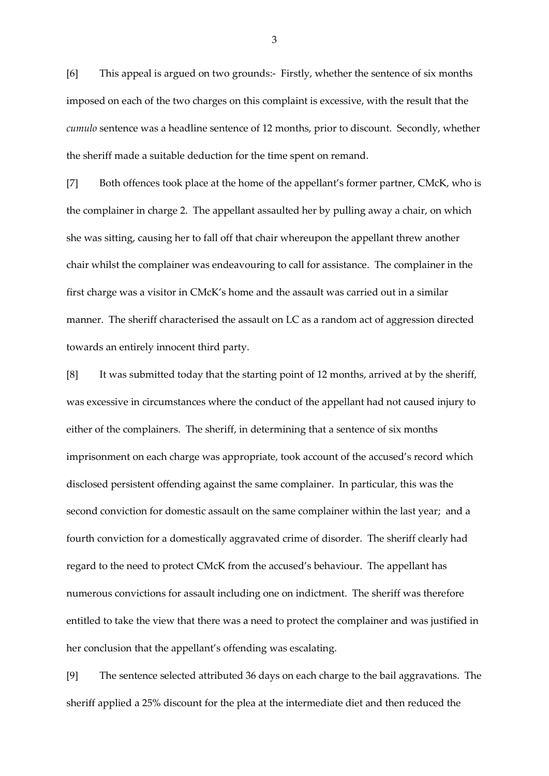[6] This appeal is argued on two grounds:- Firstly, whether the sentence of six months imposed on each of the two charges on this complaint is excessive, with the result that the *cumulo* sentence was a headline sentence of 12 months, prior to discount. Secondly, whether the sheriff made a suitable deduction for the time spent on remand.

[7] Both offences took place at the home of the appellant's former partner, CMcK, who is the complainer in charge 2. The appellant assaulted her by pulling away a chair, on which she was sitting, causing her to fall off that chair whereupon the appellant threw another chair whilst the complainer was endeavouring to call for assistance. The complainer in the first charge was a visitor in CMcK's home and the assault was carried out in a similar manner. The sheriff characterised the assault on LC as a random act of aggression directed towards an entirely innocent third party.

[8] It was submitted today that the starting point of 12 months, arrived at by the sheriff, was excessive in circumstances where the conduct of the appellant had not caused injury to either of the complainers. The sheriff, in determining that a sentence of six months imprisonment on each charge was appropriate, took account of the accused's record which disclosed persistent offending against the same complainer. In particular, this was the second conviction for domestic assault on the same complainer within the last year; and a fourth conviction for a domestically aggravated crime of disorder. The sheriff clearly had regard to the need to protect CMcK from the accused's behaviour. The appellant has numerous convictions for assault including one on indictment. The sheriff was therefore entitled to take the view that there was a need to protect the complainer and was justified in her conclusion that the appellant's offending was escalating.

[9] The sentence selected attributed 36 days on each charge to the bail aggravations. The sheriff applied a 25% discount for the plea at the intermediate diet and then reduced the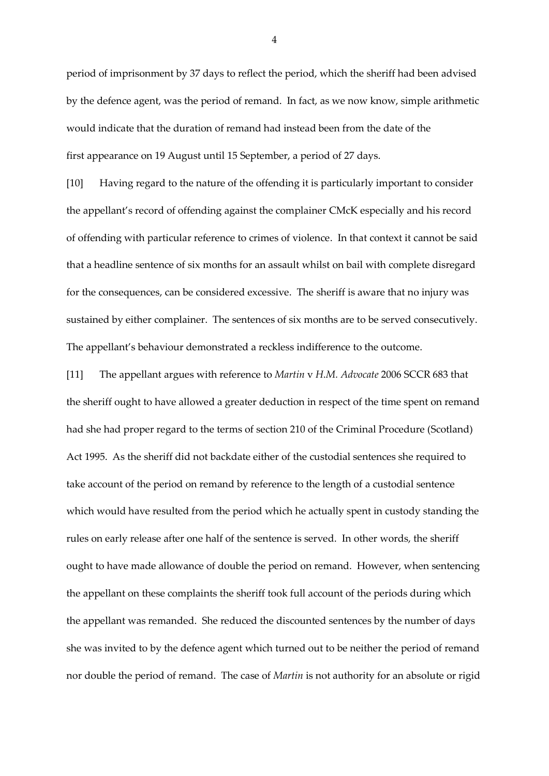period of imprisonment by 37 days to reflect the period, which the sheriff had been advised by the defence agent, was the period of remand. In fact, as we now know, simple arithmetic would indicate that the duration of remand had instead been from the date of the first appearance on 19 August until 15 September, a period of 27 days.

[10] Having regard to the nature of the offending it is particularly important to consider the appellant's record of offending against the complainer CMcK especially and his record of offending with particular reference to crimes of violence. In that context it cannot be said that a headline sentence of six months for an assault whilst on bail with complete disregard for the consequences, can be considered excessive. The sheriff is aware that no injury was sustained by either complainer. The sentences of six months are to be served consecutively. The appellant's behaviour demonstrated a reckless indifference to the outcome.

[11] The appellant argues with reference to *Martin* v *H.M. Advocate* 2006 SCCR 683 that the sheriff ought to have allowed a greater deduction in respect of the time spent on remand had she had proper regard to the terms of section 210 of the Criminal Procedure (Scotland) Act 1995. As the sheriff did not backdate either of the custodial sentences she required to take account of the period on remand by reference to the length of a custodial sentence which would have resulted from the period which he actually spent in custody standing the rules on early release after one half of the sentence is served. In other words, the sheriff ought to have made allowance of double the period on remand. However, when sentencing the appellant on these complaints the sheriff took full account of the periods during which the appellant was remanded. She reduced the discounted sentences by the number of days she was invited to by the defence agent which turned out to be neither the period of remand nor double the period of remand. The case of *Martin* is not authority for an absolute or rigid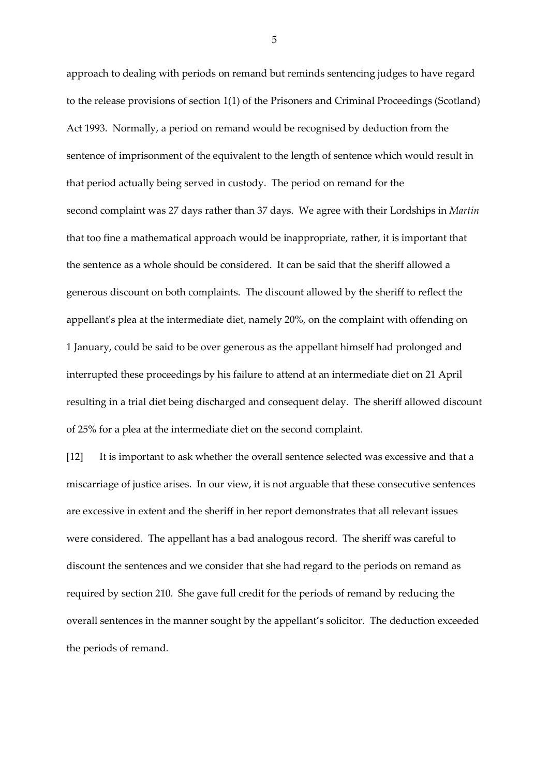approach to dealing with periods on remand but reminds sentencing judges to have regard to the release provisions of section 1(1) of the Prisoners and Criminal Proceedings (Scotland) Act 1993. Normally, a period on remand would be recognised by deduction from the sentence of imprisonment of the equivalent to the length of sentence which would result in that period actually being served in custody. The period on remand for the second complaint was 27 days rather than 37 days. We agree with their Lordships in *Martin*  that too fine a mathematical approach would be inappropriate, rather, it is important that the sentence as a whole should be considered. It can be said that the sheriff allowed a generous discount on both complaints. The discount allowed by the sheriff to reflect the appellant's plea at the intermediate diet, namely 20%, on the complaint with offending on 1 January, could be said to be over generous as the appellant himself had prolonged and interrupted these proceedings by his failure to attend at an intermediate diet on 21 April resulting in a trial diet being discharged and consequent delay. The sheriff allowed discount of 25% for a plea at the intermediate diet on the second complaint.

[12] It is important to ask whether the overall sentence selected was excessive and that a miscarriage of justice arises. In our view, it is not arguable that these consecutive sentences are excessive in extent and the sheriff in her report demonstrates that all relevant issues were considered. The appellant has a bad analogous record. The sheriff was careful to discount the sentences and we consider that she had regard to the periods on remand as required by section 210. She gave full credit for the periods of remand by reducing the overall sentences in the manner sought by the appellant's solicitor. The deduction exceeded the periods of remand.